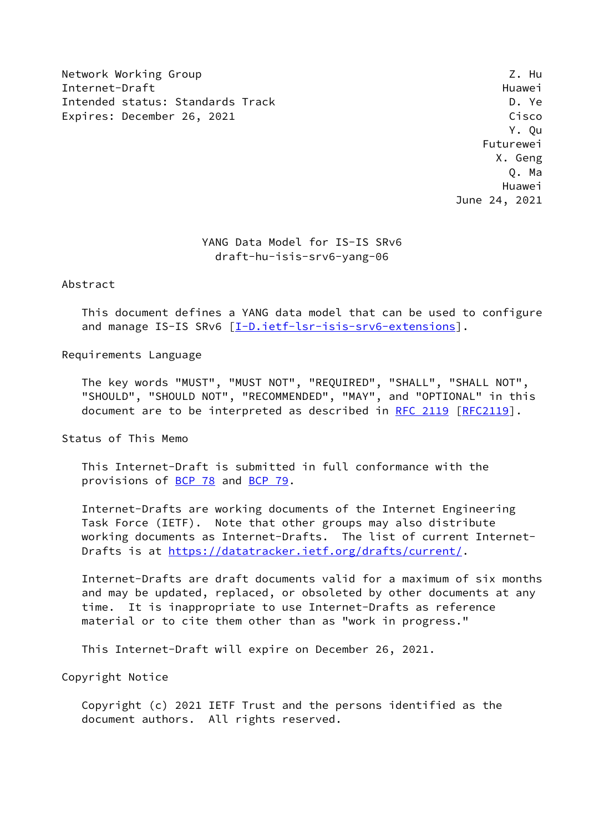Network Working Group 2. Hunder of the Second Library 2. Hunder of the Second Library 2. Hunder Internet-Draft Huawei Intended status: Standards Track D. Ye Expires: December 26, 2021 Cisco Contract Contract Contract Contract Contract Cisco

 Y. Qu Futurewei X. Geng Q. Ma Huawei June 24, 2021

# YANG Data Model for IS-IS SRv6 draft-hu-isis-srv6-yang-06

Abstract

 This document defines a YANG data model that can be used to configure and manage IS-IS SRv6 [[I-D.ietf-lsr-isis-srv6-extensions\]](#page-22-0).

Requirements Language

 The key words "MUST", "MUST NOT", "REQUIRED", "SHALL", "SHALL NOT", "SHOULD", "SHOULD NOT", "RECOMMENDED", "MAY", and "OPTIONAL" in this document are to be interpreted as described in [RFC 2119 \[RFC2119](https://datatracker.ietf.org/doc/pdf/rfc2119)].

Status of This Memo

 This Internet-Draft is submitted in full conformance with the provisions of [BCP 78](https://datatracker.ietf.org/doc/pdf/bcp78) and [BCP 79](https://datatracker.ietf.org/doc/pdf/bcp79).

 Internet-Drafts are working documents of the Internet Engineering Task Force (IETF). Note that other groups may also distribute working documents as Internet-Drafts. The list of current Internet- Drafts is at<https://datatracker.ietf.org/drafts/current/>.

 Internet-Drafts are draft documents valid for a maximum of six months and may be updated, replaced, or obsoleted by other documents at any time. It is inappropriate to use Internet-Drafts as reference material or to cite them other than as "work in progress."

This Internet-Draft will expire on December 26, 2021.

Copyright Notice

 Copyright (c) 2021 IETF Trust and the persons identified as the document authors. All rights reserved.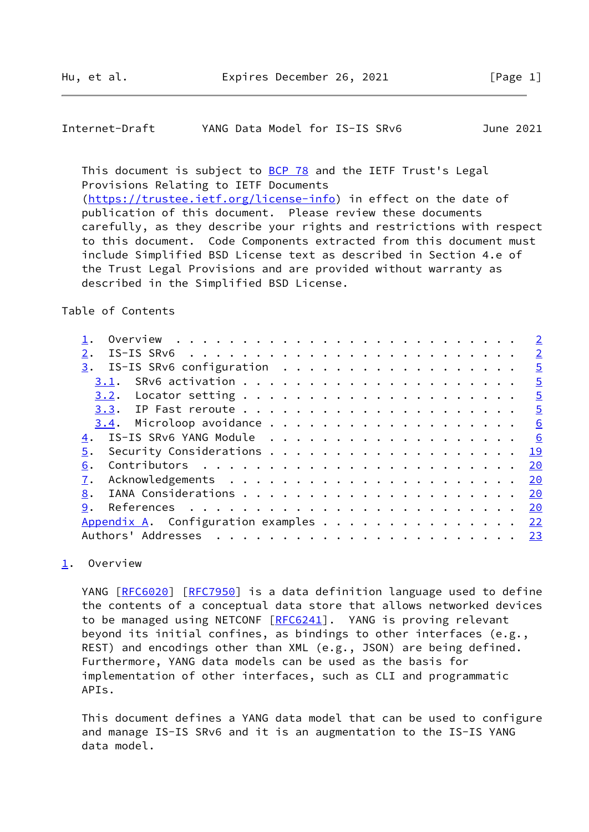<span id="page-1-1"></span>Internet-Draft YANG Data Model for IS-IS SRv6 June 2021

This document is subject to [BCP 78](https://datatracker.ietf.org/doc/pdf/bcp78) and the IETF Trust's Legal Provisions Relating to IETF Documents [\(https://trustee.ietf.org/license-info](https://trustee.ietf.org/license-info)) in effect on the date of publication of this document. Please review these documents carefully, as they describe your rights and restrictions with respect to this document. Code Components extracted from this document must include Simplified BSD License text as described in Section 4.e of the Trust Legal Provisions and are provided without warranty as described in the Simplified BSD License.

Table of Contents

|                                | $\overline{2}$ |
|--------------------------------|----------------|
|                                | $\overline{2}$ |
| IS-IS SRv6 configuration<br>3. | $\overline{5}$ |
|                                | $\overline{5}$ |
| 3.2.                           | $\overline{5}$ |
|                                | $\overline{5}$ |
|                                | 6              |
| IS-IS SRv6 YANG Module<br>4.   | 6              |
| 5.                             | <u>19</u>      |
| 6.                             | 20             |
|                                | 20             |
| 8.                             | 20             |
| 9.                             | 20             |
|                                | 22             |
| Authors' Addresses             | 23             |
|                                |                |

<span id="page-1-0"></span>[1](#page-1-0). Overview

YANG [\[RFC6020](https://datatracker.ietf.org/doc/pdf/rfc6020)] [\[RFC7950](https://datatracker.ietf.org/doc/pdf/rfc7950)] is a data definition language used to define the contents of a conceptual data store that allows networked devices to be managed using NETCONF [\[RFC6241](https://datatracker.ietf.org/doc/pdf/rfc6241)]. YANG is proving relevant beyond its initial confines, as bindings to other interfaces (e.g., REST) and encodings other than XML (e.g., JSON) are being defined. Furthermore, YANG data models can be used as the basis for implementation of other interfaces, such as CLI and programmatic APIs.

 This document defines a YANG data model that can be used to configure and manage IS-IS SRv6 and it is an augmentation to the IS-IS YANG data model.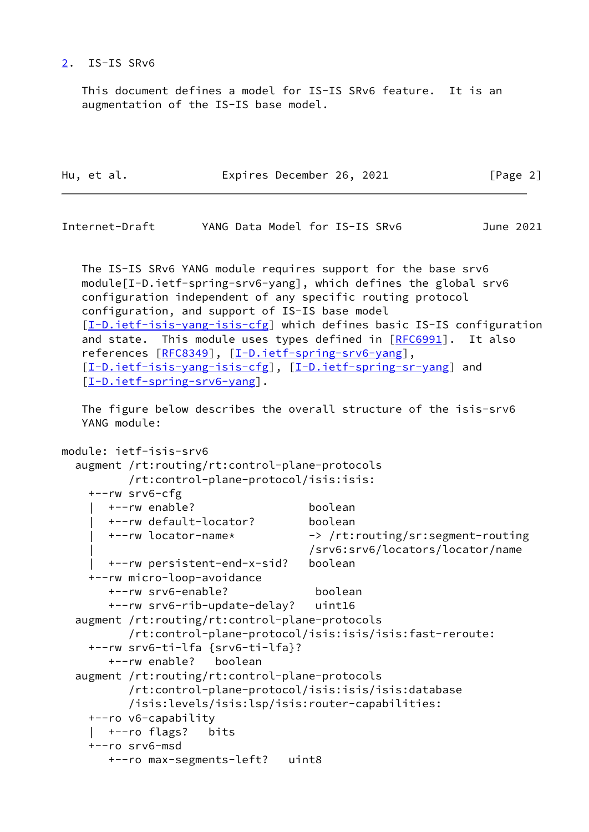### <span id="page-2-0"></span>[2](#page-2-0). IS-IS SRv6

 This document defines a model for IS-IS SRv6 feature. It is an augmentation of the IS-IS base model.

| Hu, et al. |  |  |  | Expires December 26, 2021 |  |  | [Page 2] |  |
|------------|--|--|--|---------------------------|--|--|----------|--|
|------------|--|--|--|---------------------------|--|--|----------|--|

| YANG Data Model for IS-IS SRv6 | Internet-Draft |  |  |  | June 2021 |  |
|--------------------------------|----------------|--|--|--|-----------|--|
|--------------------------------|----------------|--|--|--|-----------|--|

 The IS-IS SRv6 YANG module requires support for the base srv6 module[I-D.ietf-spring-srv6-yang], which defines the global srv6 configuration independent of any specific routing protocol configuration, and support of IS-IS base model [\[I-D.ietf-isis-yang-isis-cfg](#page-22-2)] which defines basic IS-IS configuration and state. This module uses types defined in [[RFC6991](https://datatracker.ietf.org/doc/pdf/rfc6991)]. It also references [[RFC8349\]](https://datatracker.ietf.org/doc/pdf/rfc8349), [[I-D.ietf-spring-srv6-yang\]](#page-22-3), [\[I-D.ietf-isis-yang-isis-cfg](#page-22-2)], [\[I-D.ietf-spring-sr-yang](#page-22-4)] and [\[I-D.ietf-spring-srv6-yang](#page-22-3)].

 The figure below describes the overall structure of the isis-srv6 YANG module:

```
module: ietf-isis-srv6
   augment /rt:routing/rt:control-plane-protocols
          /rt:control-plane-protocol/isis:isis:
     +--rw srv6-cfg
       | +--rw enable? boolean
       | +--rw default-locator? boolean
       | +--rw locator-name* -> /rt:routing/sr:segment-routing
                                     | /srv6:srv6/locators/locator/name
       | +--rw persistent-end-x-sid? boolean
     +--rw micro-loop-avoidance
       +--rw srv6-enable? boolean
       +--rw srv6-rib-update-delay? uint16
  augment /rt:routing/rt:control-plane-protocols
          /rt:control-plane-protocol/isis:isis/isis:fast-reroute:
     +--rw srv6-ti-lfa {srv6-ti-lfa}?
       +--rw enable? boolean
   augment /rt:routing/rt:control-plane-protocols
          /rt:control-plane-protocol/isis:isis/isis:database
          /isis:levels/isis:lsp/isis:router-capabilities:
     +--ro v6-capability
     | +--ro flags? bits
     +--ro srv6-msd
       +--ro max-segments-left? uint8
```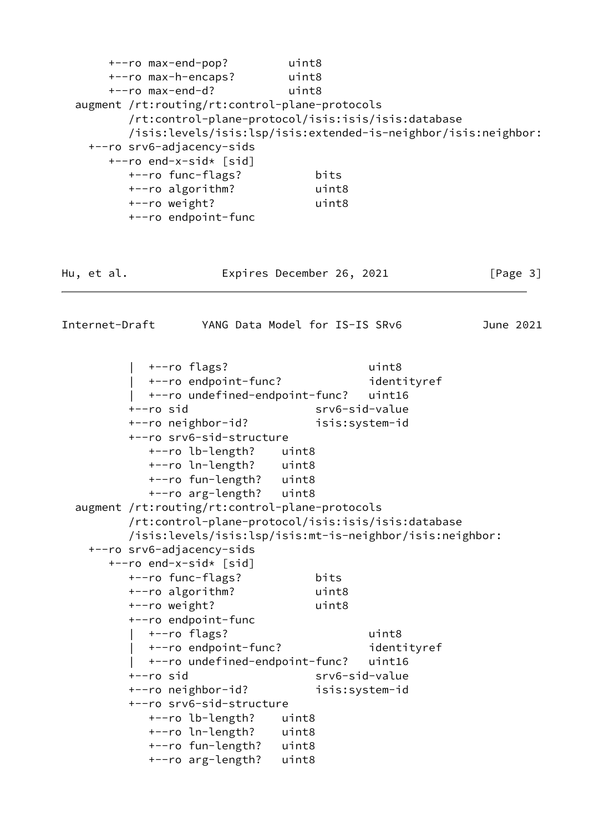| +--ro max-end-pop?<br>+--ro max-h-encaps? uint8 |                                | uint8          |                                                                |           |
|-------------------------------------------------|--------------------------------|----------------|----------------------------------------------------------------|-----------|
| +--ro max-end-d?                                |                                | uint8          |                                                                |           |
| augment /rt:routing/rt:control-plane-protocols  |                                |                |                                                                |           |
|                                                 |                                |                | /rt:control-plane-protocol/isis:isis/isis:database             |           |
| +--ro srv6-adjacency-sids                       |                                |                | /isis:levels/isis:lsp/isis:extended-is-neighbor/isis:neighbor: |           |
| +--ro end-x-sid* [sid]                          |                                |                |                                                                |           |
| +--ro func-flags?                               |                                | bits           |                                                                |           |
| +--ro algorithm?                                |                                | uint8          |                                                                |           |
| +--ro weight?                                   |                                | uint8          |                                                                |           |
| +--ro endpoint-func                             |                                |                |                                                                |           |
|                                                 |                                |                |                                                                |           |
| Hu, et al.                                      | Expires December 26, 2021      |                |                                                                | [Page 3]  |
| Internet-Draft                                  | YANG Data Model for IS-IS SRv6 |                |                                                                | June 2021 |
|                                                 |                                |                |                                                                |           |
|                                                 |                                |                | uint8                                                          |           |
| +--ro flags?<br>  +--ro endpoint-func?          |                                |                | identityref                                                    |           |
|                                                 | +--ro undefined-endpoint-func? |                | uint16                                                         |           |
| $+--ro$ sid                                     |                                | srv6-sid-value |                                                                |           |
| +--ro neighbor-id?                              |                                | isis:system-id |                                                                |           |
| +--ro srv6-sid-structure                        |                                |                |                                                                |           |
| +--ro lb-length?                                | uint8                          |                |                                                                |           |
|                                                 | +--ro ln-length?<br>uint8      |                |                                                                |           |
|                                                 | +--ro fun-length? uint8        |                |                                                                |           |
| +--ro arg-length?                               | uint8                          |                |                                                                |           |
| augment /rt:routing/rt:control-plane-protocols  |                                |                |                                                                |           |
|                                                 |                                |                | /rt:control-plane-protocol/isis:isis/isis:database             |           |
|                                                 |                                |                | /isis:levels/isis:lsp/isis:mt-is-neighbor/isis:neighbor:       |           |
| +--ro srv6-adjacency-sids                       |                                |                |                                                                |           |
| +--ro end-x-sid* [sid]                          |                                |                |                                                                |           |
| +--ro func-flags?                               |                                | bits           |                                                                |           |
| +--ro algorithm?                                |                                | uint8          |                                                                |           |
| +--ro weight?                                   |                                | uint8          |                                                                |           |
| +--ro endpoint-func                             |                                |                |                                                                |           |
| +--ro flags?                                    |                                |                | uint8                                                          |           |
|                                                 | +--ro endpoint-func?           |                | identityref                                                    |           |
|                                                 | +--ro undefined-endpoint-func? |                | uint16                                                         |           |
| +--ro sid                                       |                                | srv6-sid-value |                                                                |           |
| +--ro neighbor-id?                              |                                | isis:system-id |                                                                |           |
| +--ro srv6-sid-structure                        |                                |                |                                                                |           |
| +--ro lb-length?                                | uint8                          |                |                                                                |           |
| +--ro ln-length?                                | uint8                          |                |                                                                |           |
| +--ro fun-length?                               | uint8                          |                |                                                                |           |
| +--ro arg-length?                               | uint8                          |                |                                                                |           |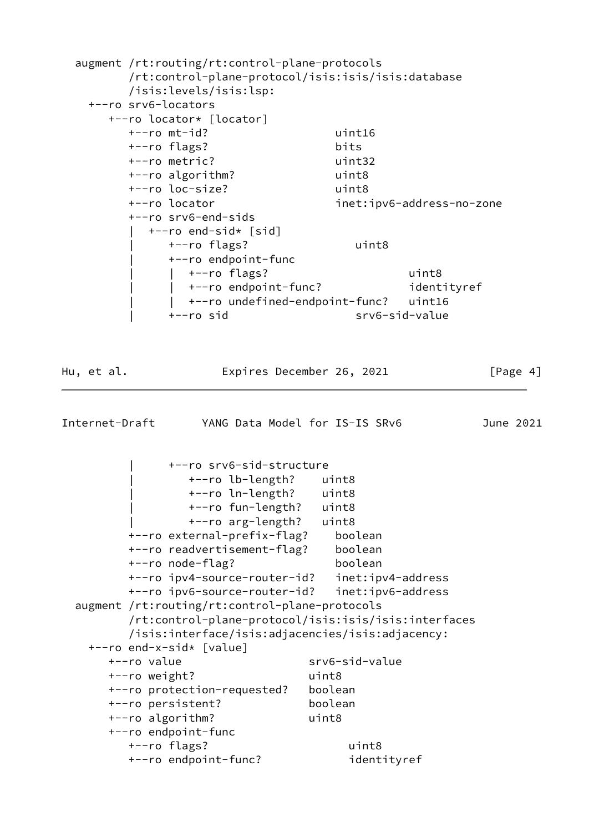<span id="page-4-0"></span>

|            | augment /rt:routing/rt:control-plane-protocols<br>/rt:control-plane-protocol/isis:isis/isis:database<br>/isis:levels/isis:lsp:<br>+--ro srv6-locators |                                                         |           |
|------------|-------------------------------------------------------------------------------------------------------------------------------------------------------|---------------------------------------------------------|-----------|
|            | +--ro locator* [locator]                                                                                                                              |                                                         |           |
|            | $+--ro$ mt-id?                                                                                                                                        | uint16                                                  |           |
|            | +--ro flags?                                                                                                                                          | bits                                                    |           |
|            | +--ro metric?                                                                                                                                         | uint32                                                  |           |
|            | +--ro algorithm?                                                                                                                                      | uint8                                                   |           |
|            | +--ro loc-size?                                                                                                                                       | uint8                                                   |           |
|            | +--ro locator                                                                                                                                         | inet:ipv6-address-no-zone                               |           |
|            | +--ro srv6-end-sids                                                                                                                                   |                                                         |           |
|            | +--ro end-sid* [sid]                                                                                                                                  |                                                         |           |
|            | +--ro flags?                                                                                                                                          | uint8                                                   |           |
|            | +--ro endpoint-func                                                                                                                                   |                                                         |           |
|            | $\vert$ +--ro flags?                                                                                                                                  | uint8                                                   |           |
|            | +--ro endpoint-func?                                                                                                                                  | identityref                                             |           |
|            | +--ro sid                                                                                                                                             | +--ro undefined-endpoint-func? uint16<br>srv6-sid-value |           |
|            |                                                                                                                                                       |                                                         |           |
|            |                                                                                                                                                       |                                                         |           |
| Hu, et al. |                                                                                                                                                       | Expires December 26, 2021                               | [Page 4]  |
|            | Internet-Draft YANG Data Model for IS-IS SRv6                                                                                                         |                                                         | June 2021 |
|            | +--ro srv6-sid-structure<br>+--ro lb-length?<br>+--ro ln-length? uint8<br>+--ro fun-length? uint8                                                     | uint8                                                   |           |
|            | +--ro arg-length?                                                                                                                                     | uint8                                                   |           |
|            | +--ro external-prefix-flag?                                                                                                                           | boolean                                                 |           |
|            | +--ro readvertisement-flag?                                                                                                                           | boolean                                                 |           |
|            | +--ro node-flag?                                                                                                                                      | boolean                                                 |           |
|            | +--ro ipv4-source-router-id?                                                                                                                          | inet:ipv4-address                                       |           |
|            | +--ro ipv6-source-router-id?                                                                                                                          | inet:ipv6-address                                       |           |
|            | augment /rt:routing/rt:control-plane-protocols                                                                                                        |                                                         |           |
|            | /rt:control-plane-protocol/isis:isis/isis:interfaces                                                                                                  |                                                         |           |
|            | /isis:interface/isis:adjacencies/isis:adjacency:                                                                                                      |                                                         |           |
|            | +--ro end-x-sid* [value]                                                                                                                              |                                                         |           |
|            | +--ro value                                                                                                                                           | srv6-sid-value                                          |           |
|            | +--ro weight?                                                                                                                                         | uint8                                                   |           |
|            | +--ro protection-requested?                                                                                                                           | boolean                                                 |           |
|            | +--ro persistent?                                                                                                                                     | boolean                                                 |           |
|            | +--ro algorithm?                                                                                                                                      | uint8                                                   |           |
|            | +--ro endpoint-func                                                                                                                                   |                                                         |           |
|            | +--ro flags?<br>+--ro endpoint-func?                                                                                                                  | uint8<br>identityref                                    |           |
|            |                                                                                                                                                       |                                                         |           |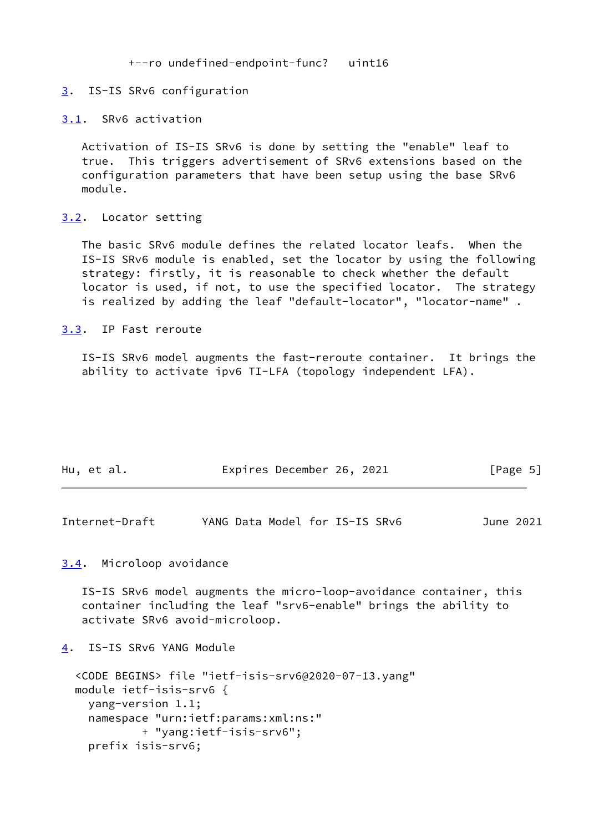+--ro undefined-endpoint-func? uint16

#### <span id="page-5-0"></span>[3](#page-5-0). IS-IS SRv6 configuration

#### <span id="page-5-1"></span>[3.1](#page-5-1). SRv6 activation

 Activation of IS-IS SRv6 is done by setting the "enable" leaf to true. This triggers advertisement of SRv6 extensions based on the configuration parameters that have been setup using the base SRv6 module.

### <span id="page-5-2"></span>[3.2](#page-5-2). Locator setting

 The basic SRv6 module defines the related locator leafs. When the IS-IS SRv6 module is enabled, set the locator by using the following strategy: firstly, it is reasonable to check whether the default locator is used, if not, to use the specified locator. The strategy is realized by adding the leaf "default-locator", "locator-name" .

#### <span id="page-5-3"></span>[3.3](#page-5-3). IP Fast reroute

 IS-IS SRv6 model augments the fast-reroute container. It brings the ability to activate ipv6 TI-LFA (topology independent LFA).

| Hu, et al. | Expires December 26, 2021 |  | [Page 5] |  |
|------------|---------------------------|--|----------|--|
|            |                           |  |          |  |

<span id="page-5-5"></span>

| YANG Data Model for IS-IS SRv6<br>Internet-Draft<br>June 2021 |  |  |  |  |  |
|---------------------------------------------------------------|--|--|--|--|--|
|---------------------------------------------------------------|--|--|--|--|--|

### <span id="page-5-4"></span>[3.4](#page-5-4). Microloop avoidance

 IS-IS SRv6 model augments the micro-loop-avoidance container, this container including the leaf "srv6-enable" brings the ability to activate SRv6 avoid-microloop.

<span id="page-5-6"></span>[4](#page-5-6). IS-IS SRv6 YANG Module

```
 <CODE BEGINS> file "ietf-isis-srv6@2020-07-13.yang"
 module ietf-isis-srv6 {
   yang-version 1.1;
   namespace "urn:ietf:params:xml:ns:"
           + "yang:ietf-isis-srv6";
   prefix isis-srv6;
```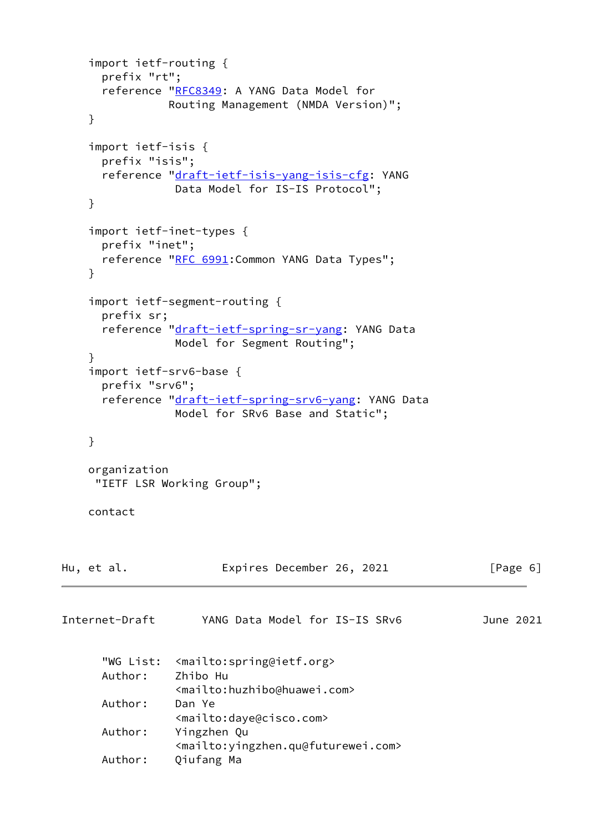```
 import ietf-routing {
      prefix "rt";
       reference "RFC8349: A YANG Data Model for
                 Routing Management (NMDA Version)";
     }
     import ietf-isis {
      prefix "isis";
       reference "draft-ietf-isis-yang-isis-cfg: YANG
                  Data Model for IS-IS Protocol";
     }
     import ietf-inet-types {
       prefix "inet";
      "RFC 6991: Common YANG Data Types";
     }
     import ietf-segment-routing {
      prefix sr;
       reference "draft-ietf-spring-sr-yang: YANG Data
                 Model for Segment Routing";
     }
     import ietf-srv6-base {
      prefix "srv6";
      "draft-ietf-spring-srv6-yang: YANG Data
                  Model for SRv6 Base and Static";
     }
     organization
      "IETF LSR Working Group";
     contact
Hu, et al.                 Expires December 26, 2021             [Page 6]
Internet-Draft YANG Data Model for IS-IS SRv6 June 2021
       "WG List: <mailto:spring@ietf.org>
       Author: Zhibo Hu
                  <mailto:huzhibo@huawei.com>
      Author: Dan Ye
                  <mailto:daye@cisco.com>
      Author: Yingzhen Qu
                  <mailto:yingzhen.qu@futurewei.com>
       Author: Qiufang Ma
```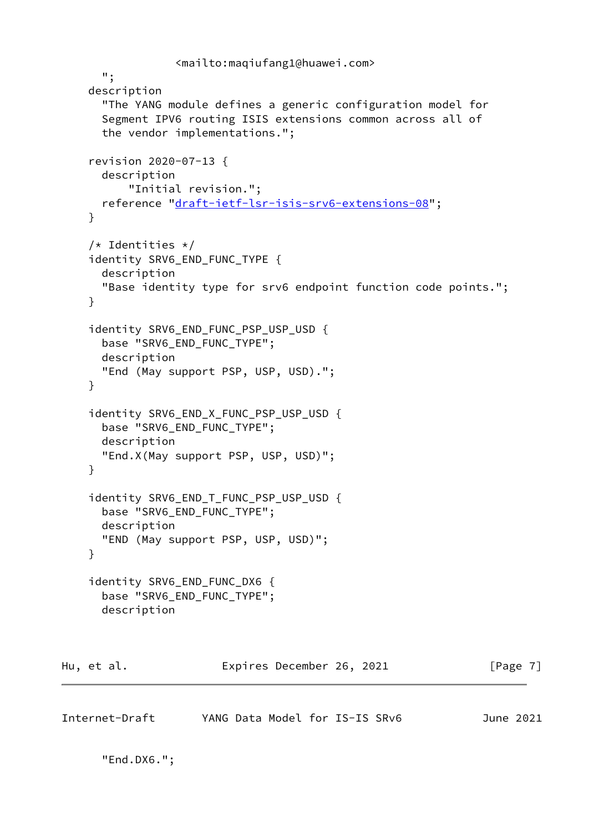```
 <mailto:maqiufang1@huawei.com>
       ";
     description
       "The YANG module defines a generic configuration model for
       Segment IPV6 routing ISIS extensions common across all of
       the vendor implementations.";
     revision 2020-07-13 {
       description
           "Initial revision.";
      reference "draft-ietf-lsr-isis-srv6-extensions-08";
     }
    /* Identities */ identity SRV6_END_FUNC_TYPE {
       description
       "Base identity type for srv6 endpoint function code points.";
     }
    identity SRV6 END FUNC PSP USP USD {
       base "SRV6_END_FUNC_TYPE";
       description
       "End (May support PSP, USP, USD).";
     }
     identity SRV6_END_X_FUNC_PSP_USP_USD {
       base "SRV6_END_FUNC_TYPE";
       description
       "End.X(May support PSP, USP, USD)";
     }
     identity SRV6_END_T_FUNC_PSP_USP_USD {
       base "SRV6_END_FUNC_TYPE";
       description
       "END (May support PSP, USP, USD)";
     }
    identity SRV6 END FUNC DX6 {
       base "SRV6_END_FUNC_TYPE";
       description
Hu, et al. Expires December 26, 2021 [Page 7]
```

```
Internet-Draft YANG Data Model for IS-IS SRv6 June 2021
```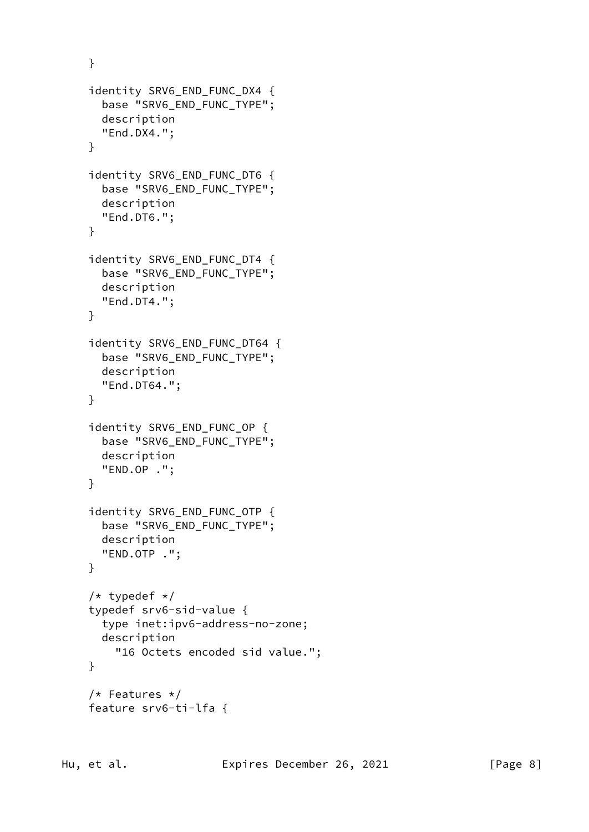```
 }
 identity SRV6_END_FUNC_DX4 {
   base "SRV6_END_FUNC_TYPE";
   description
   "End.DX4.";
 }
 identity SRV6_END_FUNC_DT6 {
   base "SRV6_END_FUNC_TYPE";
   description
   "End.DT6.";
 }
 identity SRV6_END_FUNC_DT4 {
   base "SRV6_END_FUNC_TYPE";
   description
   "End.DT4.";
 }
 identity SRV6_END_FUNC_DT64 {
   base "SRV6_END_FUNC_TYPE";
   description
  "End.DT64.";
 }
 identity SRV6_END_FUNC_OP {
   base "SRV6_END_FUNC_TYPE";
   description
   "END.OP .";
 }
 identity SRV6_END_FUNC_OTP {
   base "SRV6_END_FUNC_TYPE";
   description
   "END.OTP .";
 }
/* typedef */ typedef srv6-sid-value {
   type inet:ipv6-address-no-zone;
   description
     "16 Octets encoded sid value.";
 }
 /* Features */
 feature srv6-ti-lfa {
```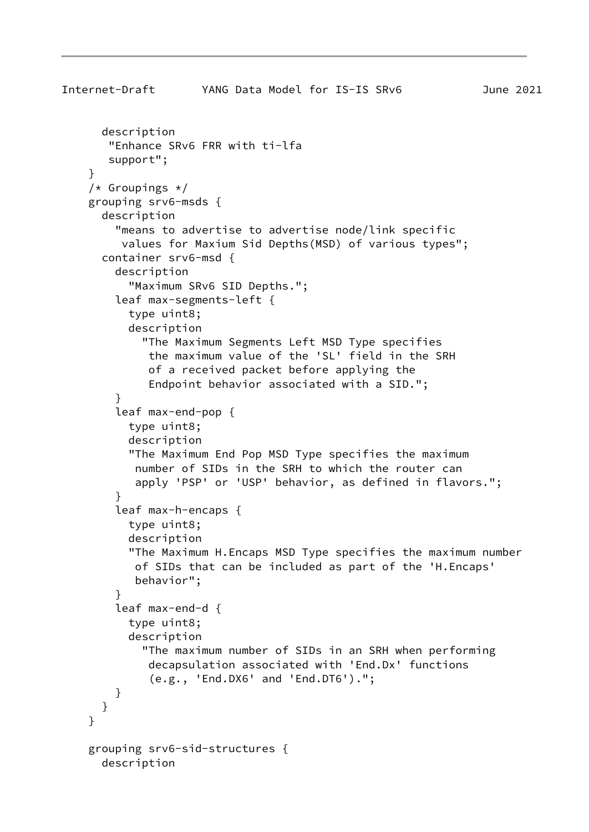```
 description
        "Enhance SRv6 FRR with ti-lfa
        support";
     }
    /* Groupings */ grouping srv6-msds {
       description
         "means to advertise to advertise node/link specific
          values for Maxium Sid Depths(MSD) of various types";
       container srv6-msd {
         description
           "Maximum SRv6 SID Depths.";
         leaf max-segments-left {
           type uint8;
           description
             "The Maximum Segments Left MSD Type specifies
              the maximum value of the 'SL' field in the SRH
              of a received packet before applying the
              Endpoint behavior associated with a SID.";
 }
         leaf max-end-pop {
           type uint8;
           description
           "The Maximum End Pop MSD Type specifies the maximum
            number of SIDs in the SRH to which the router can
            apply 'PSP' or 'USP' behavior, as defined in flavors.";
         }
         leaf max-h-encaps {
           type uint8;
           description
           "The Maximum H.Encaps MSD Type specifies the maximum number
            of SIDs that can be included as part of the 'H.Encaps'
            behavior";
 }
         leaf max-end-d {
           type uint8;
           description
             "The maximum number of SIDs in an SRH when performing
              decapsulation associated with 'End.Dx' functions
              (e.g., 'End.DX6' and 'End.DT6').";
         }
      }
    }
     grouping srv6-sid-structures {
      description
```
Internet-Draft YANG Data Model for IS-IS SRv6 June 2021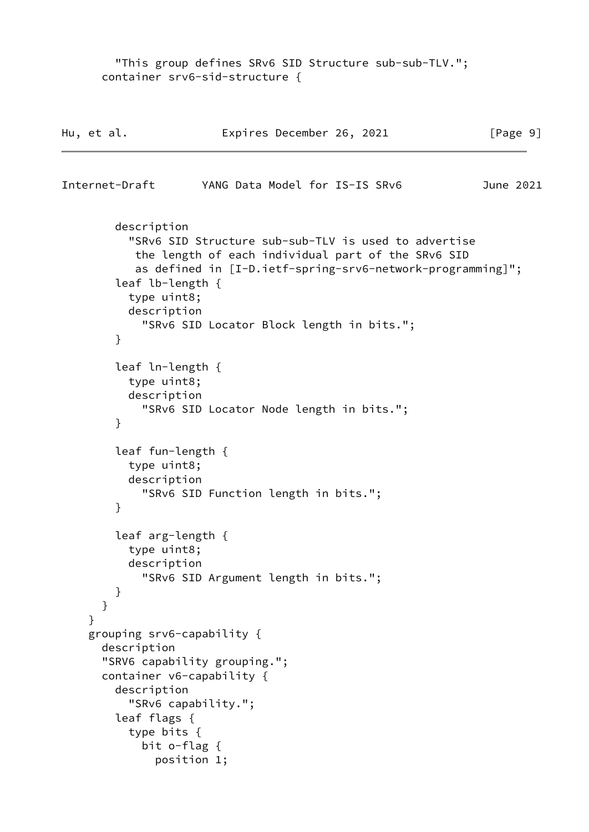"This group defines SRv6 SID Structure sub-sub-TLV."; container srv6-sid-structure { Hu, et al. **Expires December 26, 2021** [Page 9] Internet-Draft YANG Data Model for IS-IS SRv6 June 2021 description "SRv6 SID Structure sub-sub-TLV is used to advertise the length of each individual part of the SRv6 SID as defined in [I-D.ietf-spring-srv6-network-programming]"; leaf lb-length { type uint8; description "SRv6 SID Locator Block length in bits."; } leaf ln-length { type uint8; description "SRv6 SID Locator Node length in bits."; } leaf fun-length { type uint8; description "SRv6 SID Function length in bits."; } leaf arg-length { type uint8; description "SRv6 SID Argument length in bits."; } } } grouping srv6-capability { description "SRV6 capability grouping."; container v6-capability { description "SRv6 capability."; leaf flags { type bits { bit o-flag { position 1;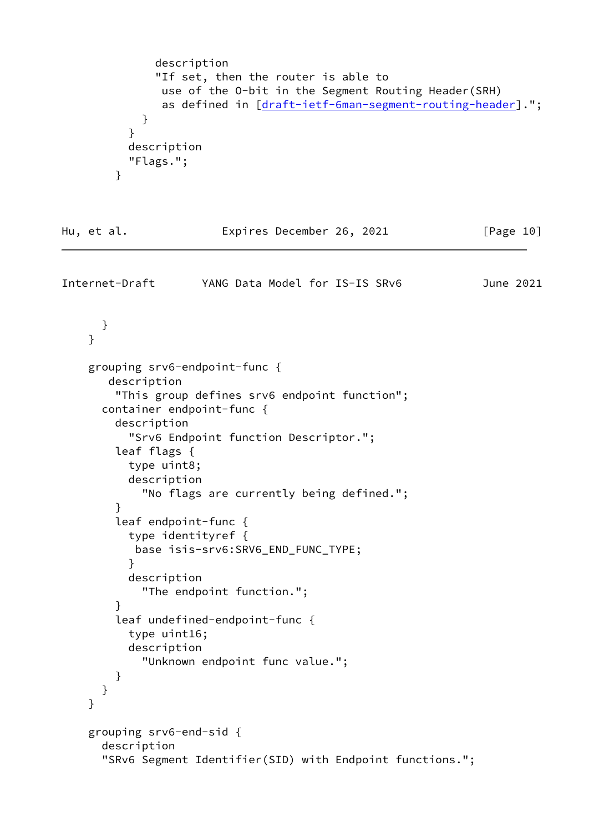```
 description
              "If set, then the router is able to
               use of the O-bit in the Segment Routing Header(SRH)
              draft-ietf-6man-segment-routing-header].";
 }
          }
          description
          "Flags.";
        }
Hu, et al. Expires December 26, 2021 [Page 10]
Internet-Draft YANG Data Model for IS-IS SRv6 June 2021
      }
     }
    grouping srv6-endpoint-func {
       description
        "This group defines srv6 endpoint function";
      container endpoint-func {
        description
          "Srv6 Endpoint function Descriptor.";
        leaf flags {
          type uint8;
          description
            "No flags are currently being defined.";
        }
        leaf endpoint-func {
          type identityref {
           base isis-srv6:SRV6_END_FUNC_TYPE;
 }
          description
            "The endpoint function.";
        }
        leaf undefined-endpoint-func {
          type uint16;
          description
            "Unknown endpoint func value.";
        }
      }
     }
    grouping srv6-end-sid {
       description
       "SRv6 Segment Identifier(SID) with Endpoint functions.";
```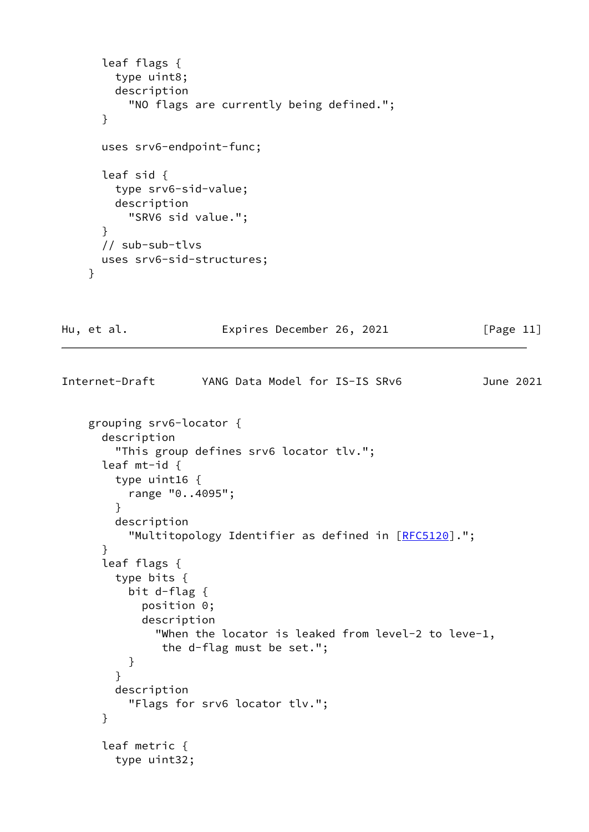```
 leaf flags {
         type uint8;
         description
           "NO flags are currently being defined.";
       }
       uses srv6-endpoint-func;
       leaf sid {
         type srv6-sid-value;
         description
           "SRV6 sid value.";
       }
       // sub-sub-tlvs
       uses srv6-sid-structures;
     }
Hu, et al. Expires December 26, 2021 [Page 11]
Internet-Draft YANG Data Model for IS-IS SRv6 June 2021
     grouping srv6-locator {
       description
         "This group defines srv6 locator tlv.";
       leaf mt-id {
         type uint16 {
           range "0..4095";
         }
         description
           "Multitopology Identifier as defined in [RFC5120].";
       }
       leaf flags {
         type bits {
           bit d-flag {
             position 0;
             description
               "When the locator is leaked from level-2 to leve-1,
                the d-flag must be set.";
           }
         }
         description
           "Flags for srv6 locator tlv.";
       }
       leaf metric {
         type uint32;
```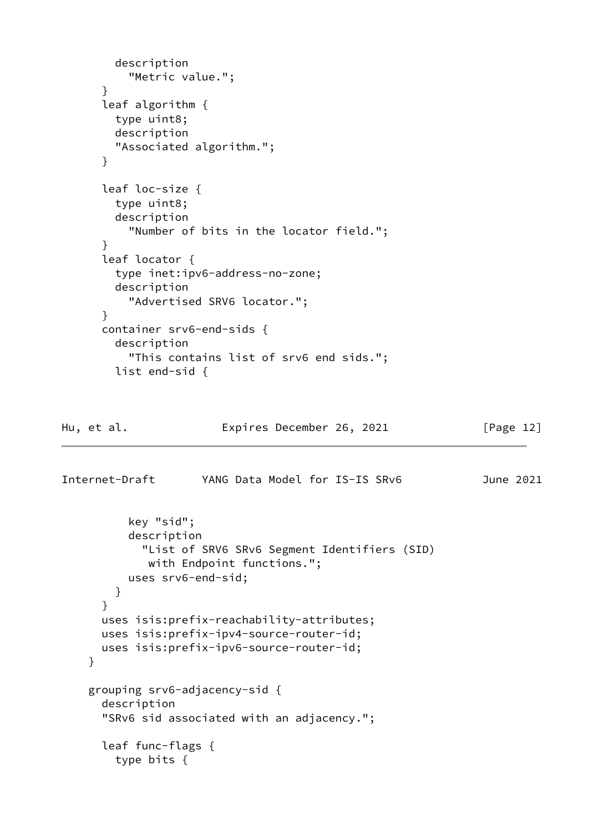```
 description
           "Metric value.";
       }
       leaf algorithm {
         type uint8;
         description
         "Associated algorithm.";
       }
       leaf loc-size {
         type uint8;
         description
           "Number of bits in the locator field.";
       }
       leaf locator {
         type inet:ipv6-address-no-zone;
         description
           "Advertised SRV6 locator.";
       }
       container srv6-end-sids {
         description
           "This contains list of srv6 end sids.";
         list end-sid {
Hu, et al.               Expires December 26, 2021           [Page 12]
Internet-Draft YANG Data Model for IS-IS SRv6 June 2021
           key "sid";
           description
             "List of SRV6 SRv6 Segment Identifiers (SID)
              with Endpoint functions.";
           uses srv6-end-sid;
         }
       }
       uses isis:prefix-reachability-attributes;
       uses isis:prefix-ipv4-source-router-id;
       uses isis:prefix-ipv6-source-router-id;
     }
     grouping srv6-adjacency-sid {
       description
       "SRv6 sid associated with an adjacency.";
       leaf func-flags {
         type bits {
```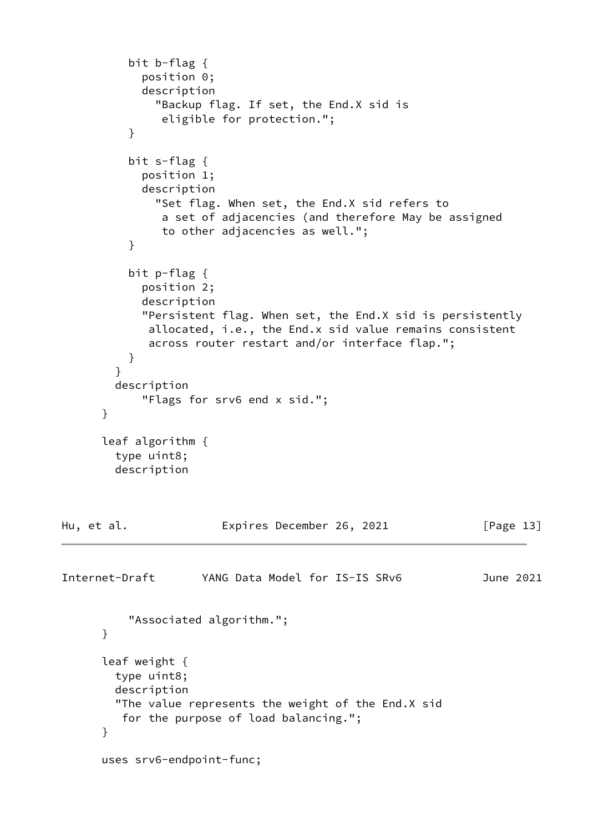```
 bit b-flag {
             position 0;
             description
               "Backup flag. If set, the End.X sid is
                eligible for protection.";
 }
           bit s-flag {
             position 1;
             description
               "Set flag. When set, the End.X sid refers to
                a set of adjacencies (and therefore May be assigned
                to other adjacencies as well.";
           }
           bit p-flag {
             position 2;
             description
             "Persistent flag. When set, the End.X sid is persistently
              allocated, i.e., the End.x sid value remains consistent
              across router restart and/or interface flap.";
           }
         }
         description
             "Flags for srv6 end x sid.";
       }
       leaf algorithm {
         type uint8;
         description
Hu, et al. Expires December 26, 2021 [Page 13]
Internet-Draft YANG Data Model for IS-IS SRv6 June 2021
           "Associated algorithm.";
       }
       leaf weight {
        type uint8;
         description
         "The value represents the weight of the End.X sid
         for the purpose of load balancing.";
       }
      uses srv6-endpoint-func;
```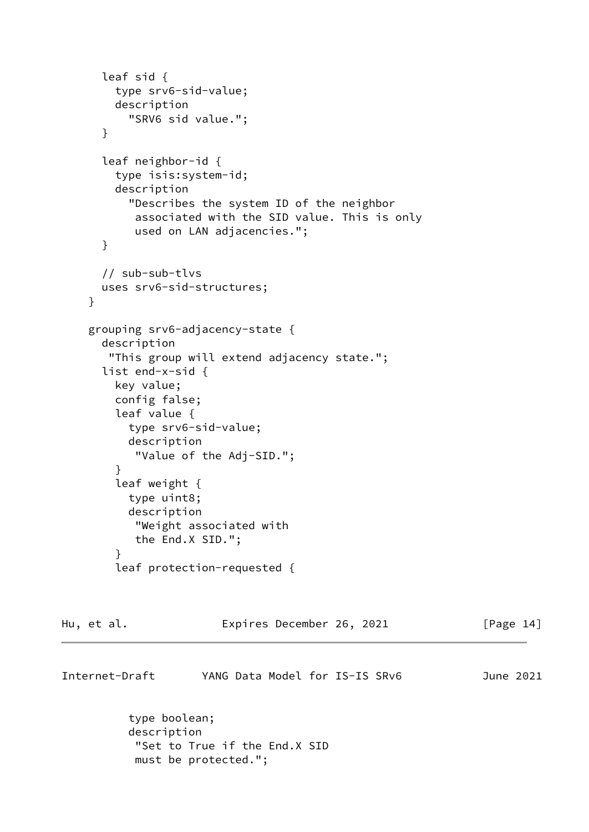```
 leaf sid {
         type srv6-sid-value;
         description
           "SRV6 sid value.";
       }
       leaf neighbor-id {
         type isis:system-id;
         description
           "Describes the system ID of the neighbor
            associated with the SID value. This is only
            used on LAN adjacencies.";
       }
       // sub-sub-tlvs
       uses srv6-sid-structures;
     }
     grouping srv6-adjacency-state {
       description
        "This group will extend adjacency state.";
       list end-x-sid {
         key value;
         config false;
         leaf value {
           type srv6-sid-value;
           description
            "Value of the Adj-SID.";
         }
         leaf weight {
           type uint8;
           description
            "Weight associated with
            the End.X SID.";
         }
         leaf protection-requested {
Hu, et al. Expires December 26, 2021 [Page 14]
```
Internet-Draft YANG Data Model for IS-IS SRv6 June 2021 type boolean;

 description "Set to True if the End.X SID must be protected.";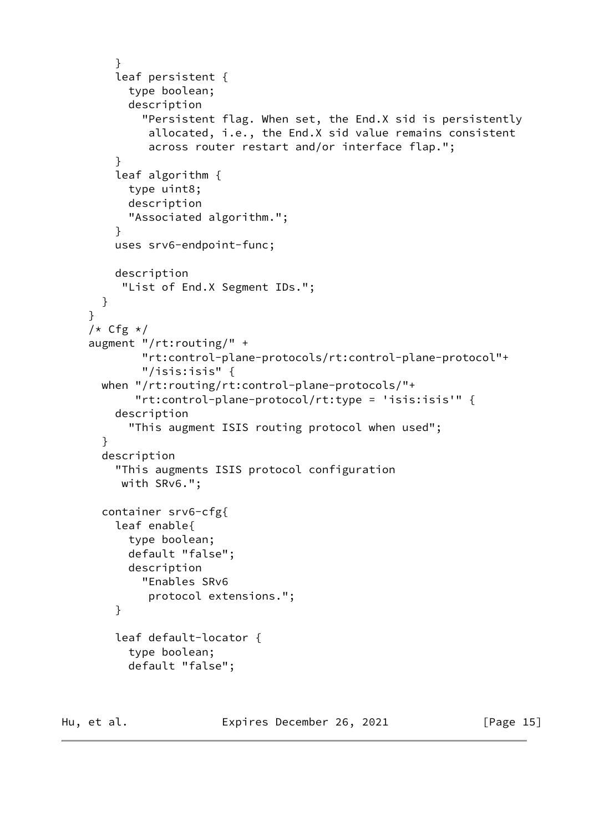```
 }
     leaf persistent {
       type boolean;
       description
         "Persistent flag. When set, the End.X sid is persistently
          allocated, i.e., the End.X sid value remains consistent
          across router restart and/or interface flap.";
     }
     leaf algorithm {
       type uint8;
       description
       "Associated algorithm.";
     }
     uses srv6-endpoint-func;
     description
      "List of End.X Segment IDs.";
   }
 }
/* Cfg */
 augment "/rt:routing/" +
         "rt:control-plane-protocols/rt:control-plane-protocol"+
         "/isis:isis" {
  when "/rt:routing/rt:control-plane-protocols/"+
        "rt:control-plane-protocol/rt:type = 'isis:isis'" {
     description
       "This augment ISIS routing protocol when used";
   }
   description
     "This augments ISIS protocol configuration
      with SRv6.";
   container srv6-cfg{
     leaf enable{
       type boolean;
       default "false";
       description
         "Enables SRv6
          protocol extensions.";
     }
     leaf default-locator {
       type boolean;
       default "false";
```
Hu, et al. **Expires December 26, 2021** [Page 15]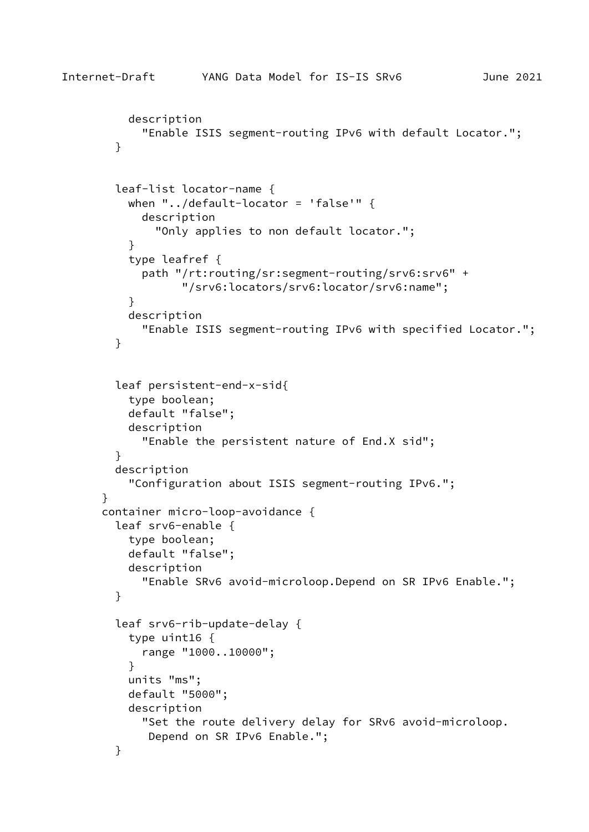```
 description
             "Enable ISIS segment-routing IPv6 with default Locator.";
         }
         leaf-list locator-name {
           when "../default-locator = 'false'" {
             description
               "Only applies to non default locator.";
 }
           type leafref {
             path "/rt:routing/sr:segment-routing/srv6:srv6" +
                   "/srv6:locators/srv6:locator/srv6:name";
 }
           description
             "Enable ISIS segment-routing IPv6 with specified Locator.";
         }
         leaf persistent-end-x-sid{
           type boolean;
           default "false";
           description
             "Enable the persistent nature of End.X sid";
         }
         description
           "Configuration about ISIS segment-routing IPv6.";
       }
       container micro-loop-avoidance {
         leaf srv6-enable {
           type boolean;
           default "false";
           description
             "Enable SRv6 avoid-microloop.Depend on SR IPv6 Enable.";
         }
         leaf srv6-rib-update-delay {
           type uint16 {
             range "1000..10000";
           }
           units "ms";
           default "5000";
           description
             "Set the route delivery delay for SRv6 avoid-microloop.
              Depend on SR IPv6 Enable.";
         }
```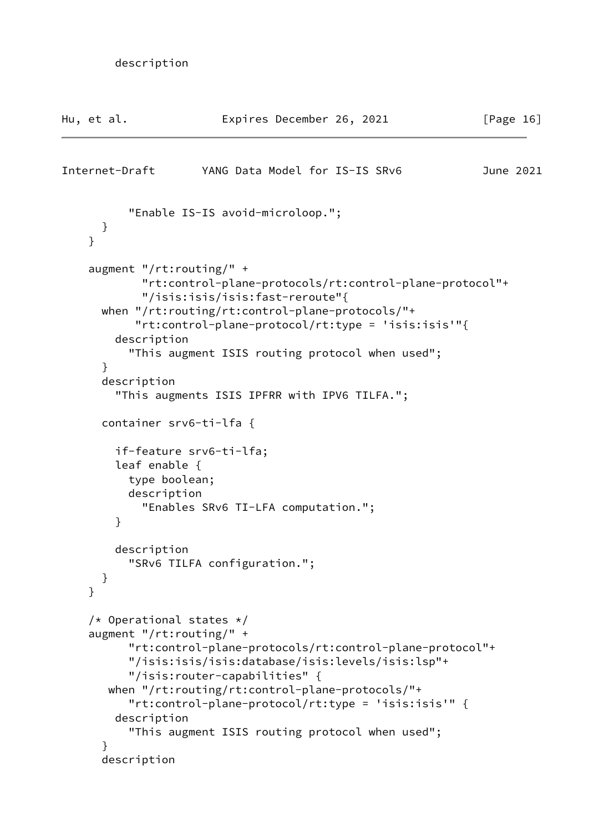```
 description
```

| Hu, et al.                                                                                   | Expires December 26, 2021                                                                                                                                                                                                                                                                                 | [Page $16$ ] |
|----------------------------------------------------------------------------------------------|-----------------------------------------------------------------------------------------------------------------------------------------------------------------------------------------------------------------------------------------------------------------------------------------------------------|--------------|
| Internet-Draft                                                                               | YANG Data Model for IS-IS SRv6                                                                                                                                                                                                                                                                            | June 2021    |
| }<br>}                                                                                       | "Enable IS-IS avoid-microloop.";                                                                                                                                                                                                                                                                          |              |
| augment $"$ /rt:routing/" +<br>description<br>$\mathcal{F}$<br>description                   | "rt:control-plane-protocols/rt:control-plane-protocol"+<br>"/isis:isis/isis:fast-reroute"{<br>when "/rt:routing/rt:control-plane-protocols/"+<br>"rt:control-plane-protocol/rt:type = 'isis:isis'"{<br>"This augment ISIS routing protocol when used";<br>"This augments ISIS IPFRR with IPV6 TILFA.";    |              |
| leaf enable $\{$<br>type boolean;<br>description<br>}                                        | container srv6-ti-lfa {<br>if-feature srv6-ti-lfa;<br>"Enables SRv6 TI-LFA computation.";                                                                                                                                                                                                                 |              |
| description<br>}<br>}                                                                        | "SRv6 TILFA configuration.";                                                                                                                                                                                                                                                                              |              |
| /* Operational states $*/$<br>augment $"$ /rt:routing/" +<br>description<br>}<br>description | "rt:control-plane-protocols/rt:control-plane-protocol"+<br>"/isis:isis/isis:database/isis:levels/isis:lsp"+<br>"/isis:router-capabilities" {<br>when "/rt:routing/rt:control-plane-protocols/"+<br>"rt:control-plane-protocol/rt:type = 'isis:isis'" {<br>"This augment ISIS routing protocol when used"; |              |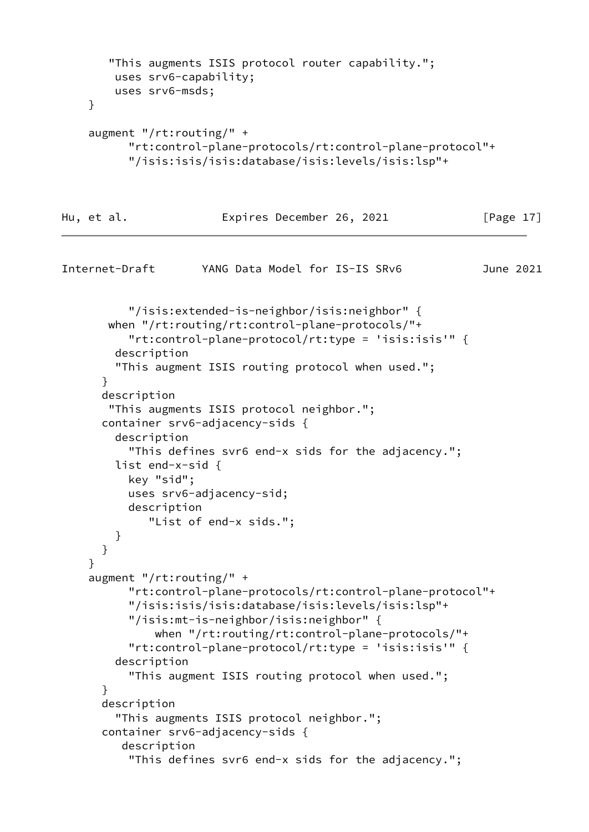```
 "This augments ISIS protocol router capability.";
         uses srv6-capability;
         uses srv6-msds;
     }
     augment "/rt:routing/" +
           "rt:control-plane-protocols/rt:control-plane-protocol"+
           "/isis:isis/isis:database/isis:levels/isis:lsp"+
Hu, et al. Expires December 26, 2021 [Page 17]
Internet-Draft YANG Data Model for IS-IS SRv6 June 2021
           "/isis:extended-is-neighbor/isis:neighbor" {
        when "/rt:routing/rt:control-plane-protocols/"+
           "rt:control-plane-protocol/rt:type = 'isis:isis'" {
         description
         "This augment ISIS routing protocol when used.";
       }
       description
        "This augments ISIS protocol neighbor.";
       container srv6-adjacency-sids {
         description
           "This defines svr6 end-x sids for the adjacency.";
         list end-x-sid {
           key "sid";
           uses srv6-adjacency-sid;
           description
              "List of end-x sids.";
         }
       }
     }
     augment "/rt:routing/" +
           "rt:control-plane-protocols/rt:control-plane-protocol"+
           "/isis:isis/isis:database/isis:levels/isis:lsp"+
           "/isis:mt-is-neighbor/isis:neighbor" {
               when "/rt:routing/rt:control-plane-protocols/"+
           "rt:control-plane-protocol/rt:type = 'isis:isis'" {
         description
           "This augment ISIS routing protocol when used.";
       }
       description
         "This augments ISIS protocol neighbor.";
       container srv6-adjacency-sids {
          description
           "This defines svr6 end-x sids for the adjacency.";
```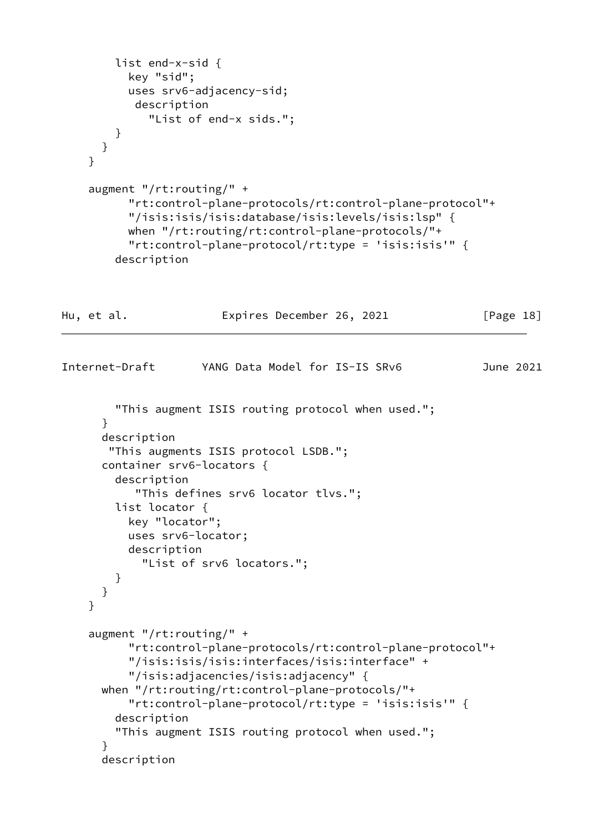```
 list end-x-sid {
           key "sid";
           uses srv6-adjacency-sid;
            description
              "List of end-x sids.";
         }
      }
     }
     augment "/rt:routing/" +
           "rt:control-plane-protocols/rt:control-plane-protocol"+
           "/isis:isis/isis:database/isis:levels/isis:lsp" {
           when "/rt:routing/rt:control-plane-protocols/"+
           "rt:control-plane-protocol/rt:type = 'isis:isis'" {
         description
Hu, et al. Expires December 26, 2021 [Page 18]
Internet-Draft YANG Data Model for IS-IS SRv6 June 2021
         "This augment ISIS routing protocol when used.";
       }
       description
        "This augments ISIS protocol LSDB.";
       container srv6-locators {
         description
            "This defines srv6 locator tlvs.";
         list locator {
           key "locator";
           uses srv6-locator;
           description
             "List of srv6 locators.";
         }
       }
     }
     augment "/rt:routing/" +
           "rt:control-plane-protocols/rt:control-plane-protocol"+
           "/isis:isis/isis:interfaces/isis:interface" +
           "/isis:adjacencies/isis:adjacency" {
       when "/rt:routing/rt:control-plane-protocols/"+
           "rt:control-plane-protocol/rt:type = 'isis:isis'" {
         description
         "This augment ISIS routing protocol when used.";
       }
       description
```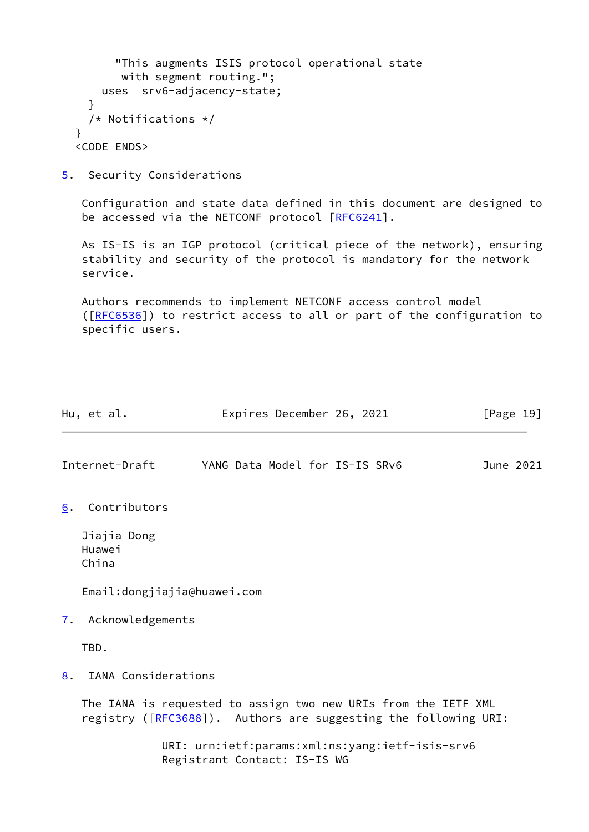```
 "This augments ISIS protocol operational state
        with segment routing.";
     uses srv6-adjacency-state;
   }
   /* Notifications */
 }
 <CODE ENDS>
```
<span id="page-21-0"></span>[5](#page-21-0). Security Considerations

 Configuration and state data defined in this document are designed to be accessed via the NETCONF protocol [\[RFC6241](https://datatracker.ietf.org/doc/pdf/rfc6241)].

 As IS-IS is an IGP protocol (critical piece of the network), ensuring stability and security of the protocol is mandatory for the network service.

 Authors recommends to implement NETCONF access control model ([\[RFC6536](https://datatracker.ietf.org/doc/pdf/rfc6536)]) to restrict access to all or part of the configuration to specific users.

<span id="page-21-4"></span><span id="page-21-3"></span><span id="page-21-2"></span><span id="page-21-1"></span>

|    | Hu, et al.                     | Expires December 26, 2021                                                                                                         | $\lceil \text{Page 19} \rceil$ |
|----|--------------------------------|-----------------------------------------------------------------------------------------------------------------------------------|--------------------------------|
|    | Internet-Draft                 | YANG Data Model for IS-IS SRv6                                                                                                    | June 2021                      |
| 6. | Contributors                   |                                                                                                                                   |                                |
|    | Jiajia Dong<br>Huawei<br>China |                                                                                                                                   |                                |
|    | Email:dongjiajia@huawei.com    |                                                                                                                                   |                                |
| 7. | Acknowledgements               |                                                                                                                                   |                                |
|    | TBD.                           |                                                                                                                                   |                                |
| 8. | IANA Considerations            |                                                                                                                                   |                                |
|    |                                | The IANA is requested to assign two new URIs from the IETF XML<br>registry ([RFC3688]). Authors are suggesting the following URI: |                                |
|    |                                | URI: urn:ietf:params:xml:ns:yang:ietf-isis-srv6<br>Registrant Contact: IS-IS WG                                                   |                                |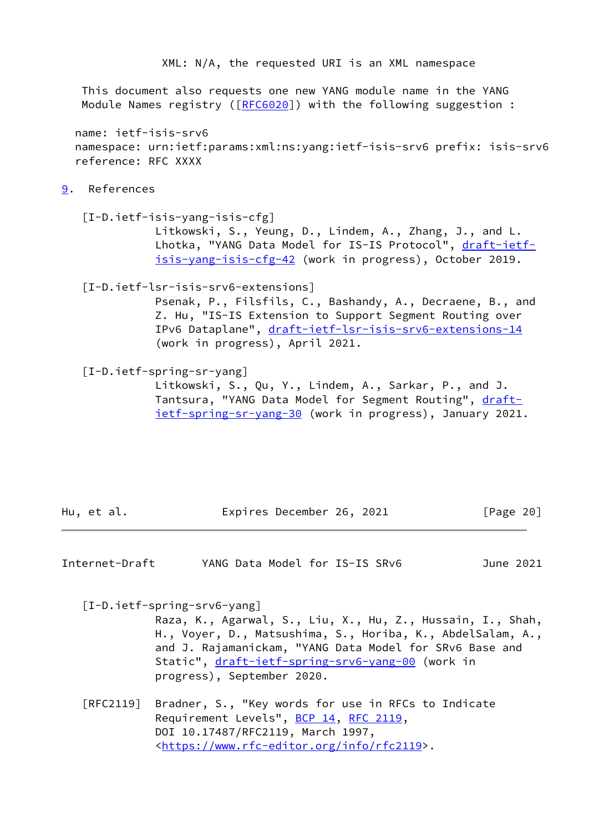XML: N/A, the requested URI is an XML namespace

 This document also requests one new YANG module name in the YANG Module Names registry ([\[RFC6020](https://datatracker.ietf.org/doc/pdf/rfc6020)]) with the following suggestion :

 name: ietf-isis-srv6 namespace: urn:ietf:params:xml:ns:yang:ietf-isis-srv6 prefix: isis-srv6 reference: RFC XXXX

## <span id="page-22-1"></span>[9](#page-22-1). References

<span id="page-22-2"></span> [I-D.ietf-isis-yang-isis-cfg] Litkowski, S., Yeung, D., Lindem, A., Zhang, J., and L. Lhotka, "YANG Data Model for IS-IS Protocol", [draft-ietf](https://datatracker.ietf.org/doc/pdf/draft-ietf-isis-yang-isis-cfg-42) [isis-yang-isis-cfg-42](https://datatracker.ietf.org/doc/pdf/draft-ietf-isis-yang-isis-cfg-42) (work in progress), October 2019.

### <span id="page-22-0"></span>[I-D.ietf-lsr-isis-srv6-extensions]

 Psenak, P., Filsfils, C., Bashandy, A., Decraene, B., and Z. Hu, "IS-IS Extension to Support Segment Routing over IPv6 Dataplane", [draft-ietf-lsr-isis-srv6-extensions-14](https://datatracker.ietf.org/doc/pdf/draft-ietf-lsr-isis-srv6-extensions-14) (work in progress), April 2021.

### <span id="page-22-4"></span>[I-D.ietf-spring-sr-yang]

 Litkowski, S., Qu, Y., Lindem, A., Sarkar, P., and J. Tantsura, "YANG Data Model for Segment Routing", [draft](https://datatracker.ietf.org/doc/pdf/draft-ietf-spring-sr-yang-30) [ietf-spring-sr-yang-30](https://datatracker.ietf.org/doc/pdf/draft-ietf-spring-sr-yang-30) (work in progress), January 2021.

Hu, et al. **Expires December 26, 2021** [Page 20]

Internet-Draft YANG Data Model for IS-IS SRv6 June 2021

<span id="page-22-3"></span>[I-D.ietf-spring-srv6-yang]

 Raza, K., Agarwal, S., Liu, X., Hu, Z., Hussain, I., Shah, H., Voyer, D., Matsushima, S., Horiba, K., AbdelSalam, A., and J. Rajamanickam, "YANG Data Model for SRv6 Base and Static", [draft-ietf-spring-srv6-yang-00](https://datatracker.ietf.org/doc/pdf/draft-ietf-spring-srv6-yang-00) (work in progress), September 2020.

 [RFC2119] Bradner, S., "Key words for use in RFCs to Indicate Requirement Levels", [BCP 14](https://datatracker.ietf.org/doc/pdf/bcp14), [RFC 2119](https://datatracker.ietf.org/doc/pdf/rfc2119), DOI 10.17487/RFC2119, March 1997, <[https://www.rfc-editor.org/info/rfc2119>](https://www.rfc-editor.org/info/rfc2119).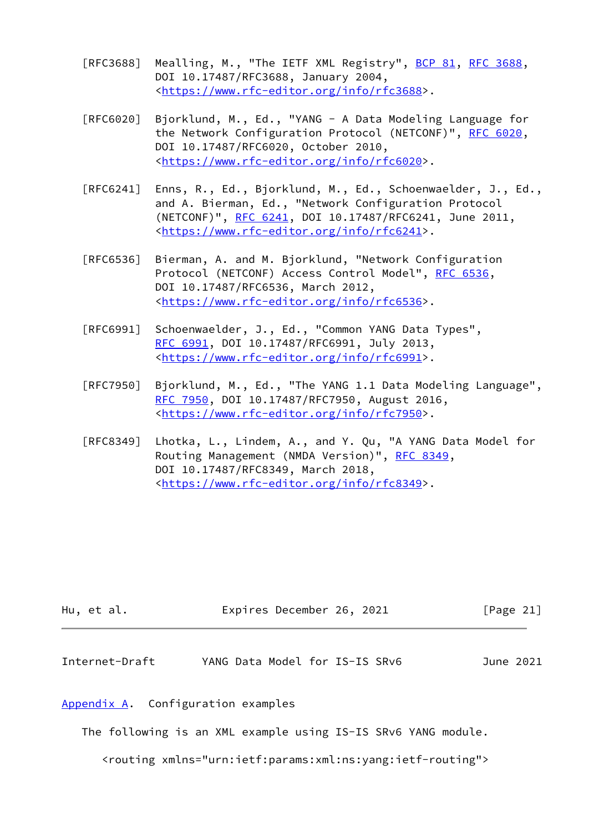- [RFC3688] Mealling, M., "The IETF XML Registry", [BCP 81](https://datatracker.ietf.org/doc/pdf/bcp81), [RFC 3688](https://datatracker.ietf.org/doc/pdf/rfc3688), DOI 10.17487/RFC3688, January 2004, <[https://www.rfc-editor.org/info/rfc3688>](https://www.rfc-editor.org/info/rfc3688).
- [RFC6020] Bjorklund, M., Ed., "YANG A Data Modeling Language for the Network Configuration Protocol (NETCONF)", [RFC 6020](https://datatracker.ietf.org/doc/pdf/rfc6020), DOI 10.17487/RFC6020, October 2010, <[https://www.rfc-editor.org/info/rfc6020>](https://www.rfc-editor.org/info/rfc6020).
- [RFC6241] Enns, R., Ed., Bjorklund, M., Ed., Schoenwaelder, J., Ed., and A. Bierman, Ed., "Network Configuration Protocol (NETCONF)", [RFC 6241,](https://datatracker.ietf.org/doc/pdf/rfc6241) DOI 10.17487/RFC6241, June 2011, <[https://www.rfc-editor.org/info/rfc6241>](https://www.rfc-editor.org/info/rfc6241).
- [RFC6536] Bierman, A. and M. Bjorklund, "Network Configuration Protocol (NETCONF) Access Control Model", [RFC 6536](https://datatracker.ietf.org/doc/pdf/rfc6536), DOI 10.17487/RFC6536, March 2012, <[https://www.rfc-editor.org/info/rfc6536>](https://www.rfc-editor.org/info/rfc6536).
- [RFC6991] Schoenwaelder, J., Ed., "Common YANG Data Types", [RFC 6991,](https://datatracker.ietf.org/doc/pdf/rfc6991) DOI 10.17487/RFC6991, July 2013, <[https://www.rfc-editor.org/info/rfc6991>](https://www.rfc-editor.org/info/rfc6991).
- [RFC7950] Bjorklund, M., Ed., "The YANG 1.1 Data Modeling Language", [RFC 7950,](https://datatracker.ietf.org/doc/pdf/rfc7950) DOI 10.17487/RFC7950, August 2016, <[https://www.rfc-editor.org/info/rfc7950>](https://www.rfc-editor.org/info/rfc7950).
- [RFC8349] Lhotka, L., Lindem, A., and Y. Qu, "A YANG Data Model for Routing Management (NMDA Version)", [RFC 8349,](https://datatracker.ietf.org/doc/pdf/rfc8349) DOI 10.17487/RFC8349, March 2018, <[https://www.rfc-editor.org/info/rfc8349>](https://www.rfc-editor.org/info/rfc8349).

|  | Hu, et al. | Expires December 26, 2021 | [Page 21] |
|--|------------|---------------------------|-----------|
|--|------------|---------------------------|-----------|

<span id="page-23-1"></span>Internet-Draft YANG Data Model for IS-IS SRv6 June 2021

## <span id="page-23-0"></span>[Appendix A.](#page-23-0) Configuration examples

The following is an XML example using IS-IS SRv6 YANG module.

<routing xmlns="urn:ietf:params:xml:ns:yang:ietf-routing">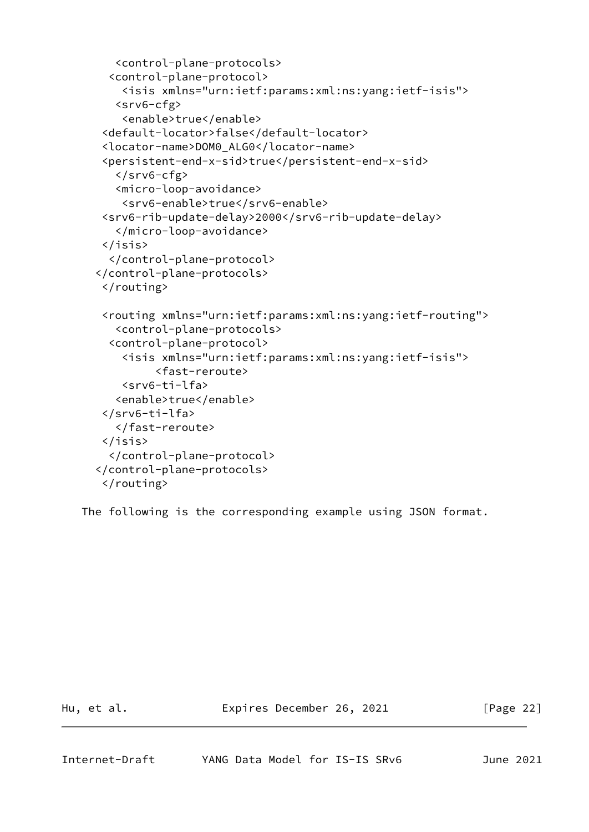```
 <control-plane-protocols>
   <control-plane-protocol>
     <isis xmlns="urn:ietf:params:xml:ns:yang:ietf-isis">
    <srv6-cfg>
     <enable>true</enable>
 <default-locator>false</default-locator>
 <locator-name>DOM0_ALG0</locator-name>
 <persistent-end-x-sid>true</persistent-end-x-sid>
   \langle/srv6-cfg>
    <micro-loop-avoidance>
     <srv6-enable>true</srv6-enable>
 <srv6-rib-update-delay>2000</srv6-rib-update-delay>
    </micro-loop-avoidance>
 </isis>
   </control-plane-protocol>
 </control-plane-protocols>
 </routing>
 <routing xmlns="urn:ietf:params:xml:ns:yang:ietf-routing">
    <control-plane-protocols>
   <control-plane-protocol>
     <isis xmlns="urn:ietf:params:xml:ns:yang:ietf-isis">
          <fast-reroute>
     <srv6-ti-lfa>
    <enable>true</enable>
 </srv6-ti-lfa>
    </fast-reroute>
 </isis>
   </control-plane-protocol>
 </control-plane-protocols>
 </routing>
```
The following is the corresponding example using JSON format.

Hu, et al. Expires December 26, 2021 [Page 22]

<span id="page-24-0"></span>Internet-Draft YANG Data Model for IS-IS SRv6 June 2021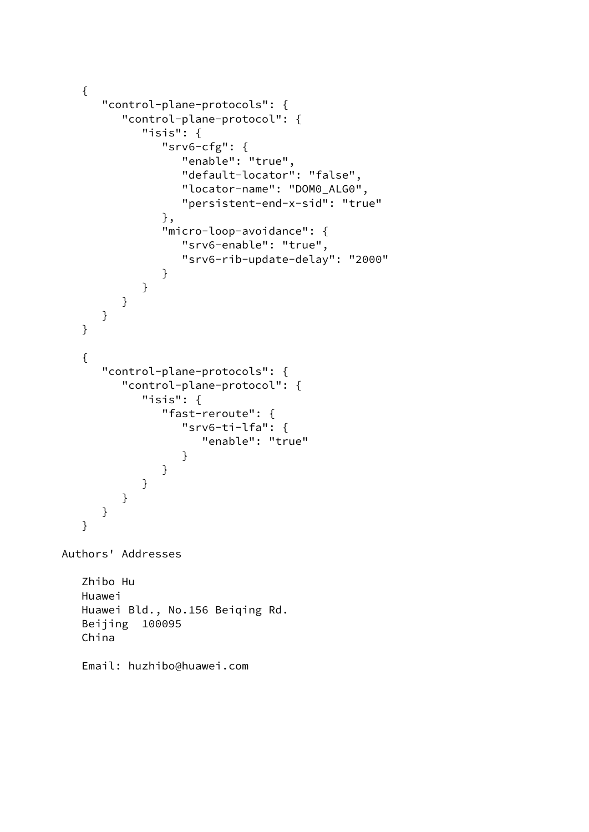```
 {
      "control-plane-protocols": {
          "control-plane-protocol": {
             "isis": {
                "srv6-cfg": {
                   "enable": "true",
                   "default-locator": "false",
                   "locator-name": "DOM0_ALG0",
                   "persistent-end-x-sid": "true"
               },
                "micro-loop-avoidance": {
                   "srv6-enable": "true",
                   "srv6-rib-update-delay": "2000"
 }
            }
         }
      }
   }
   {
       "control-plane-protocols": {
          "control-plane-protocol": {
            "isis": {
                "fast-reroute": {
                   "srv6-ti-lfa": {
                      "enable": "true"
 }
 }
 }
         }
      }
   }
Authors' Addresses
   Zhibo Hu
   Huawei
   Huawei Bld., No.156 Beiqing Rd.
   Beijing 100095
   China
   Email: huzhibo@huawei.com
```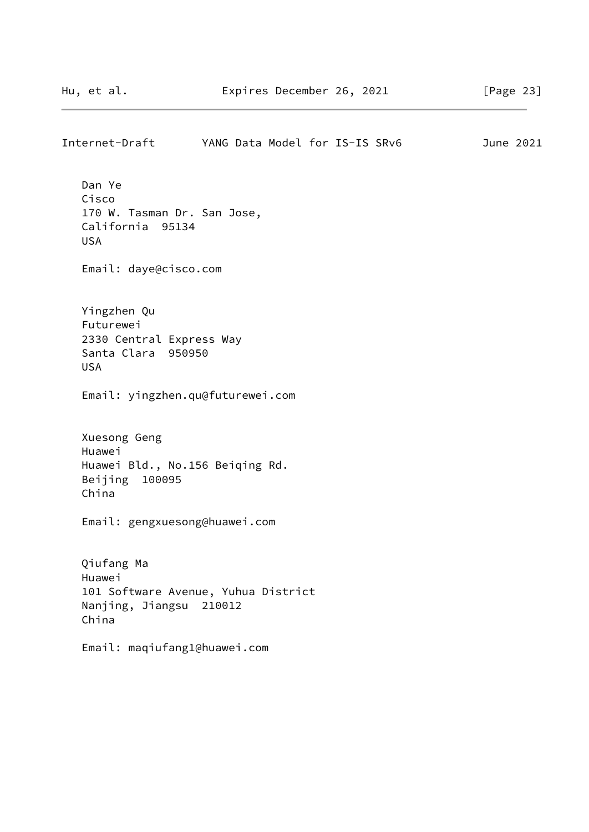Internet-Draft YANG Data Model for IS-IS SRv6 June 2021 Dan Ye Cisco 170 W. Tasman Dr. San Jose, California 95134 USA Email: daye@cisco.com Yingzhen Qu Futurewei 2330 Central Express Way Santa Clara 950950 USA Email: yingzhen.qu@futurewei.com Xuesong Geng Huawei Huawei Bld., No.156 Beiqing Rd. Beijing 100095 China Email: gengxuesong@huawei.com Qiufang Ma Huawei 101 Software Avenue, Yuhua District Nanjing, Jiangsu 210012 China Email: maqiufang1@huawei.com